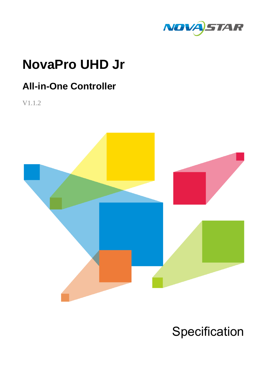

# **NovaPro UHD Jr**

# **All-in-One Controller**

V1.1.2



# **Specification**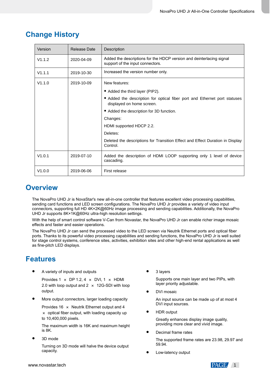| Version | Release Date | <b>Description</b>                                                                                       |  |
|---------|--------------|----------------------------------------------------------------------------------------------------------|--|
| V1.1.2  | 2020-04-09   | Added the descriptions for the HDCP version and deinterlacing signal<br>support of the input connectors. |  |
| V1.1.1  | 2019-10-30   | Increased the version number only.                                                                       |  |
| V1.1.0  | 2019-10-09   | New features:                                                                                            |  |
|         |              | • Added the third layer (PIP2).                                                                          |  |
|         |              | • Added the description for optical fiber port and Ethernet port statuses<br>displayed on home screen.   |  |
|         |              | • Added the description for 3D function.                                                                 |  |
|         |              | Changes:                                                                                                 |  |
|         |              | HDMI supported HDCP 2.2.                                                                                 |  |
|         |              | Deletes:                                                                                                 |  |
|         |              | Deleted the descriptions for Transition Effect and Effect Duration in Display<br>Control.                |  |
| V1.0.1  | 2019-07-10   | Added the description of HDMI LOOP supporting only 1 level of device<br>cascading.                       |  |
| V1.0.0  | 2019-06-06   | First release                                                                                            |  |

## **Change History**

### **Overview**

The NovaPro UHD Jr is NovaStar's new all-in-one controller that features excellent video processing capabilities, sending card functions and LED screen configurations. The NovaPro UHD Jr provides a variety of video input connectors, supporting full HD 4K×2K@60Hz image processing and sending capabilities. Additionally, the NovaPro UHD Jr supports 8K×1K@60Hz ultra-high resolution settings.

With the help of smart control software V-Can from Novastar, the NovaPro UHD Jr can enable richer image mosaic effects and faster and easier operations.

The NovaPro UHD Jr can send the processed video to the LED screen via Neutrik Ethernet ports and optical fiber ports. Thanks to its powerful video processing capabilities and sending functions, the NovaPro UHD Jr is well suited for stage control systems, conference sites, activities, exhibition sites and other high-end rental applications as well as fine-pitch LED displays.

## **Features**

A variety of inputs and outputs

Provides 1  $\times$  DP 1.2, 4  $\times$  DVI, 1  $\times$  HDMI 2.0 with loop output and  $2 \times 12$ G-SDI with loop output.

More output connectors, larger loading capacity

Provides 16 × Neutrik Ethernet output and 4  $\times$  optical fiber output, with loading capacity up to 10,400,000 pixels.

The maximum width is 16K and maximum height is 8K.

3D mode

Turning on 3D mode will halve the device output capacity.

3 layers

Supports one main layer and two PIPs, with layer priority adjustable.

DVI mosaic

An input source can be made up of at most 4 DVI input sources.

HDR output

Greatly enhances display image quality, providing more clear and vivid image.

Decimal frame rates

The supported frame rates are 23.98, 29.97 and 59.94.

Low-latency output

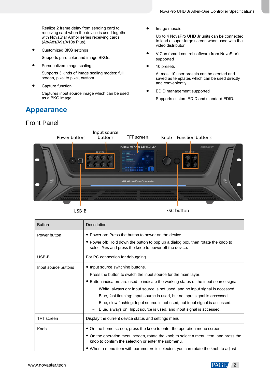Realize 2 frame delay from sending card to receiving card when the device is used together with NovaStar Armor series receiving cards (A8/A8s/A9s/A10s Plus).

Customized BKG settings

Supports pure color and image BKGs.

**•** Personalized image scaling

Supports 3 kinds of image scaling modes: full screen, pixel to pixel, custom.

Capture function

Captures input source image which can be used as a BKG image.

### **Appearance**

### Front Panel

Image mosaic

Up to 4 NovaPro UHD Jr units can be connected to load a super-large screen when used with the video distributor.

- V-Can (smart control software from NovaStar) supported
- 10 presets

At most 10 user presets can be created and saved as templates which can be used directly and conveniently.

EDID management supported

Supports custom EDID and standard EDID.





**ESC** button

| <b>Button</b>        | Description                                                                                                                                                                                                                                                                                                                                                                                                                                                                                                            |  |  |
|----------------------|------------------------------------------------------------------------------------------------------------------------------------------------------------------------------------------------------------------------------------------------------------------------------------------------------------------------------------------------------------------------------------------------------------------------------------------------------------------------------------------------------------------------|--|--|
| Power button         | • Power on: Press the button to power on the device.<br>• Power off: Hold down the button to pop up a dialog box, then rotate the knob to<br>select Yes and press the knob to power off the device.                                                                                                                                                                                                                                                                                                                    |  |  |
| USB-B                | For PC connection for debugging.                                                                                                                                                                                                                                                                                                                                                                                                                                                                                       |  |  |
| Input source buttons | • Input source switching buttons.<br>Press the button to switch the input source for the main layer.<br>• Button indicators are used to indicate the working status of the input source signal.<br>White, always on: Input source is not used, and no input signal is accessed.<br>Blue, fast flashing: Input source is used, but no input signal is accessed.<br>Blue, slow flashing: Input source is not used, but input signal is accessed.<br>Blue, always on: Input source is used, and input signal is accessed. |  |  |
| <b>TFT</b> screen    | Display the current device status and settings menu.                                                                                                                                                                                                                                                                                                                                                                                                                                                                   |  |  |
| Knob                 | • On the home screen, press the knob to enter the operation menu screen.<br>• On the operation menu screen, rotate the knob to select a menu item, and press the<br>knob to confirm the selection or enter the submenu.<br>• When a menu item with parameters is selected, you can rotate the knob to adjust                                                                                                                                                                                                           |  |  |

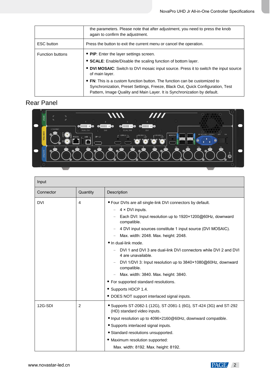|                         | the parameters. Please note that after adjustment, you need to press the knob<br>again to confirm the adjustment.                                                                                                                                         |  |  |
|-------------------------|-----------------------------------------------------------------------------------------------------------------------------------------------------------------------------------------------------------------------------------------------------------|--|--|
| <b>ESC</b> button       | Press the button to exit the current menu or cancel the operation.                                                                                                                                                                                        |  |  |
| <b>Function buttons</b> | • PIP: Enter the layer settings screen.<br>• SCALE: Enable/Disable the scaling function of bottom layer.<br>• DVI MOSAIC: Switch to DVI mosaic input source. Press it to switch the input source                                                          |  |  |
|                         | of main layer.<br>• FN: This is a custom function button. The function can be customized to<br>Synchronization, Preset Settings, Freeze, Black Out, Quick Configuration, Test<br>Pattern, Image Quality and Main Layer. It is Synchronization by default. |  |  |

### Rear Panel



| Input      |          |                                                                                                                                                                                                                                                                                                                                                                                                                                                                                                                                                                                                                                                 |  |
|------------|----------|-------------------------------------------------------------------------------------------------------------------------------------------------------------------------------------------------------------------------------------------------------------------------------------------------------------------------------------------------------------------------------------------------------------------------------------------------------------------------------------------------------------------------------------------------------------------------------------------------------------------------------------------------|--|
| Connector  | Quantity | Description                                                                                                                                                                                                                                                                                                                                                                                                                                                                                                                                                                                                                                     |  |
| <b>DVI</b> | 4        | . Four DVIs are all single-link DVI connectors by default.<br>4 × DVI inputs.<br>$\qquad \qquad -$<br>Each DVI: Input resolution up to 1920×1200@60Hz, downward<br>compatible.<br>4 DVI input sources constitute 1 input source (DVI MOSAIC).<br>Max. width: 2048. Max. height: 2048.<br>• In dual-link mode.<br>DVI 1 and DVI 3 are dual-link DVI connectors while DVI 2 and DVI<br>4 are unavailable.<br>DVI 1/DVI 3: Input resolution up to 3840×1080@60Hz, downward<br>compatible.<br>Max. width: 3840. Max. height: 3840.<br>• For supported standard resolutions.<br>• Supports HDCP 1.4.<br>• DOES NOT support interlaced signal inputs. |  |
| 12G-SDI    | 2        | • Supports ST-2082-1 (12G), ST-2081-1 (6G), ST-424 (3G) and ST-292<br>(HD) standard video inputs.<br>• Input resolution up to 4096×2160@60Hz, downward compatible.<br>• Supports interlaced signal inputs.<br>• Standard resolutions unsupported.<br>• Maximum resolution supported:<br>Max. width: 8192. Max. height: 8192.                                                                                                                                                                                                                                                                                                                    |  |

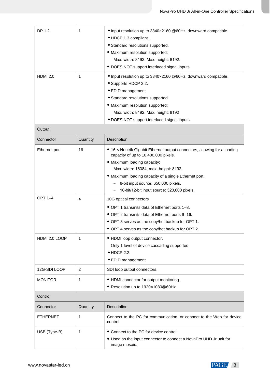| DP 1.2          | 1        | • Input resolution up to 3840x2160 @60Hz, downward compatible.                                                    |  |  |
|-----------------|----------|-------------------------------------------------------------------------------------------------------------------|--|--|
|                 |          | • HDCP 1.3 compliant.                                                                                             |  |  |
|                 |          | • Standard resolutions supported.                                                                                 |  |  |
|                 |          | · Maximum resolution supported:                                                                                   |  |  |
|                 |          | Max. width: 8192. Max. height: 8192.                                                                              |  |  |
|                 |          | • DOES NOT support interlaced signal inputs.                                                                      |  |  |
| <b>HDMI 2.0</b> | 1        | • Input resolution up to 3840x2160 @60Hz, downward compatible.                                                    |  |  |
|                 |          | • Supports HDCP 2.2.                                                                                              |  |  |
|                 |          | • EDID management.                                                                                                |  |  |
|                 |          | • Standard resolutions supported.                                                                                 |  |  |
|                 |          | • Maximum resolution supported:                                                                                   |  |  |
|                 |          | Max. width: 8192. Max. height: 8192                                                                               |  |  |
|                 |          | · DOES NOT support interlaced signal inputs.                                                                      |  |  |
| Output          |          |                                                                                                                   |  |  |
| Connector       | Quantity | Description                                                                                                       |  |  |
| Ethernet port   | 16       | • 16 x Neutrik Gigabit Ethernet output connectors, allowing for a loading<br>capacity of up to 10,400,000 pixels. |  |  |
|                 |          | • Maximum loading capacity:                                                                                       |  |  |
|                 |          | Max. width: 16384, max. height: 8192.                                                                             |  |  |
|                 |          | • Maximum loading capacity of a single Ethernet port:                                                             |  |  |
|                 |          | 8-bit input source: 650,000 pixels.                                                                               |  |  |
|                 |          | 10-bit/12-bit input source: 320,000 pixels.                                                                       |  |  |
| <b>OPT 1-4</b>  | 4        | 10G optical connectors                                                                                            |  |  |
|                 |          | • OPT 1 transmits data of Ethernet ports 1-8.                                                                     |  |  |
|                 |          | • OPT 2 transmits data of Ethernet ports 9-16.                                                                    |  |  |
|                 |          | • OPT 3 serves as the copy/hot backup for OPT 1.                                                                  |  |  |
|                 |          | • OPT 4 serves as the copy/hot backup for OPT 2.                                                                  |  |  |
| HDMI 2.0 LOOP   | 1        | • HDMI loop output connector.                                                                                     |  |  |
|                 |          | Only 1 level of device cascading supported.                                                                       |  |  |
|                 |          | $\bullet$ HDCP 2.2.                                                                                               |  |  |
|                 |          | · EDID management.                                                                                                |  |  |
| 12G-SDI LOOP    | 2        | SDI loop output connectors.                                                                                       |  |  |
| <b>MONITOR</b>  | 1        | • HDMI connector for output monitoring.                                                                           |  |  |
|                 |          | • Resolution up to 1920×1080@60Hz.                                                                                |  |  |
| Control         |          |                                                                                                                   |  |  |
| Connector       | Quantity | Description                                                                                                       |  |  |
| <b>ETHERNET</b> | 1        | Connect to the PC for communication, or connect to the Web for device<br>control.                                 |  |  |
| USB (Type-B)    | 1        | • Connect to the PC for device control.                                                                           |  |  |
|                 |          | • Used as the input connector to connect a NovaPro UHD Jr unit for                                                |  |  |
|                 |          | image mosaic.                                                                                                     |  |  |

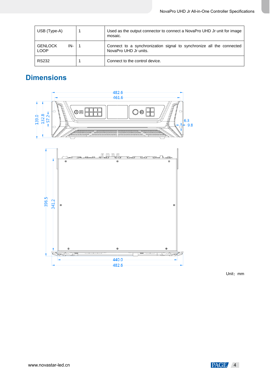| USB (Type-A)                         | Used as the output connector to connect a NovaPro UHD Jr unit for image<br>mosaic.            |  |
|--------------------------------------|-----------------------------------------------------------------------------------------------|--|
| <b>GENLOCK</b><br>IN-<br><b>LOOP</b> | Connect to a synchronization signal to synchronize all the connected<br>NovaPro UHD Jr units. |  |
| <b>RS232</b>                         | Connect to the control device.                                                                |  |

# **Dimensions**



Unit: mm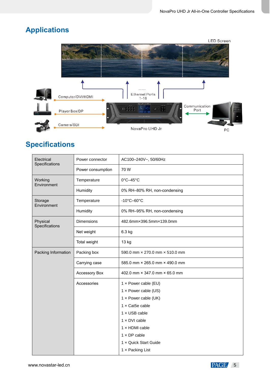# **Applications**



# **Specifications**

| Electrical<br>Specifications | Power connector   | AC100-240V~, 50/60Hz            |  |  |
|------------------------------|-------------------|---------------------------------|--|--|
|                              | Power consumption | 70W                             |  |  |
| Working<br>Environment       | Temperature       | $0^{\circ}$ C-45 $^{\circ}$ C   |  |  |
|                              | Humidity          | 0% RH-80% RH, non-condensing    |  |  |
| Storage<br>Environment       | Temperature       | $-10^{\circ}$ C $-60^{\circ}$ C |  |  |
|                              | Humidity          | 0% RH-95% RH, non-condensing    |  |  |
| Physical<br>Specifications   | <b>Dimensions</b> | 482.6mmx396.5mmx139.0mm         |  |  |
|                              | Net weight        | 6.3 kg                          |  |  |
|                              | Total weight      | 13 kg                           |  |  |
| Packing Information          | Packing box       | 590.0 mm x 270.0 mm x 510.0 mm  |  |  |
|                              | Carrying case     | 585.0 mm × 265.0 mm × 490.0 mm  |  |  |
|                              | Accessory Box     | 402.0 mm × 347.0 mm × 65.0 mm   |  |  |
|                              | Accessories       | 1 x Power cable (EU)            |  |  |
|                              |                   | 1 x Power cable (US)            |  |  |
|                              |                   | 1 x Power cable (UK)            |  |  |
|                              |                   | 1 x Cat5e cable                 |  |  |
|                              |                   | $1 \times$ USB cable            |  |  |
|                              |                   | 1 x DVI cable                   |  |  |
|                              |                   | $1 \times$ HDMI cable           |  |  |
|                              |                   | $1 \times DP$ cable             |  |  |
|                              |                   | 1 x Quick Start Guide           |  |  |
|                              |                   | 1 x Packing List                |  |  |

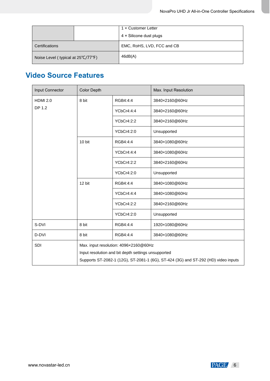|                                    | 1 x Customer Letter            |  |
|------------------------------------|--------------------------------|--|
|                                    | $4 \times$ Silicone dust plugs |  |
| Certifications                     | EMC, RoHS, LVD, FCC and CB     |  |
| Noise Level (typical at 25°C/77°F) | 46dB(A)                        |  |

## **Video Source Features**

| <b>Input Connector</b> | <b>Color Depth</b>                                                                                                                        |            | Max. Input Resolution |
|------------------------|-------------------------------------------------------------------------------------------------------------------------------------------|------------|-----------------------|
| <b>HDMI 2.0</b>        | 8 bit                                                                                                                                     | RGB4:4:4   | 3840×2160@60Hz        |
| DP 1.2                 |                                                                                                                                           | YCbCr4:4:4 | 3840×2160@60Hz        |
|                        |                                                                                                                                           | YCbCr4:2:2 | 3840×2160@60Hz        |
|                        |                                                                                                                                           | YCbCr4:2:0 | Unsupported           |
|                        | 10 bit                                                                                                                                    | RGB4:4:4   | 3840×1080@60Hz        |
|                        |                                                                                                                                           | YCbCr4:4:4 | 3840×1080@60Hz        |
|                        |                                                                                                                                           | YCbCr4:2:2 | 3840×2160@60Hz        |
|                        |                                                                                                                                           | YCbCr4:2:0 | Unsupported           |
|                        | 12 bit                                                                                                                                    | RGB4:4:4   | 3840×1080@60Hz        |
|                        |                                                                                                                                           | YCbCr4:4:4 | 3840×1080@60Hz        |
|                        |                                                                                                                                           | YCbCr4:2:2 | 3840×2160@60Hz        |
|                        |                                                                                                                                           | YCbCr4:2:0 | Unsupported           |
| S-DVI                  | 8 bit                                                                                                                                     | RGB4:4:4   | 1920×1080@60Hz        |
| D-DVI                  | 8 bit                                                                                                                                     | RGB4:4:4   | 3840×1080@60Hz        |
| <b>SDI</b>             | Max. input resolution: 4096×2160@60Hz                                                                                                     |            |                       |
|                        | Input resolution and bit depth settings unsupported<br>Supports ST-2082-1 (12G), ST-2081-1 (6G), ST-424 (3G) and ST-292 (HD) video inputs |            |                       |